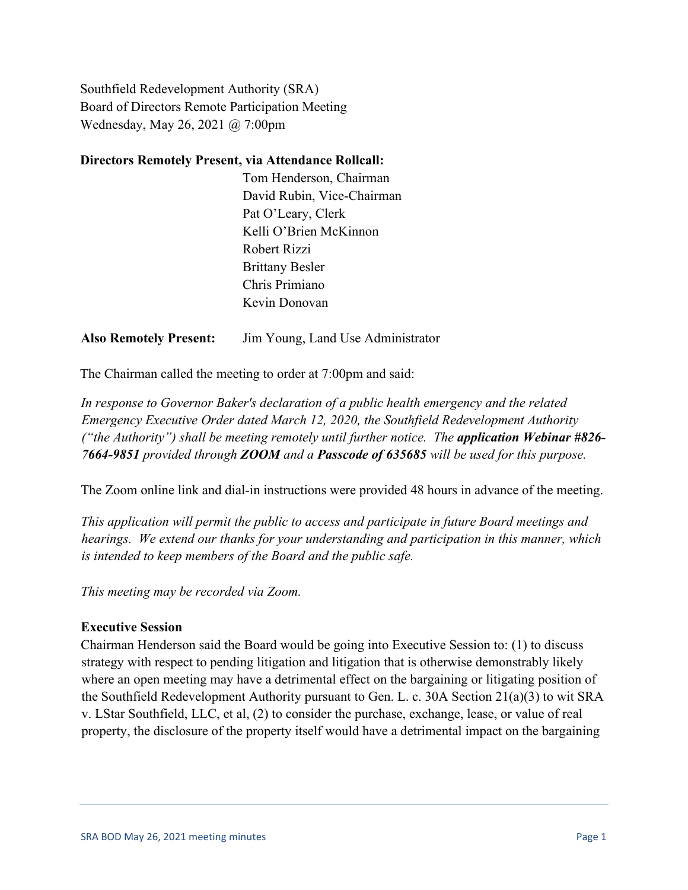Southfield Redevelopment Authority (SRA) Board of Directors Remote Participation Meeting Wednesday, May 26, 2021 @ 7:00pm

### **Directors Remotely Present, via Attendance Rollcall:**

Tom Henderson, Chairman David Rubin, Vice-Chairman Pat O'Leary, Clerk Kelli O'Brien McKinnon Robert Rizzi Brittany Besler Chris Primiano Kevin Donovan

### **Also Remotely Present:** Jim Young, Land Use Administrator

The Chairman called the meeting to order at 7:00pm and said:

*In response to Governor Baker's declaration of a public health emergency and the related Emergency Executive Order dated March 12, 2020, the Southfield Redevelopment Authority ("the Authority") shall be meeting remotely until further notice. The application Webinar #826- 7664-9851 provided through ZOOM and a Passcode of 635685 will be used for this purpose.*

The Zoom online link and dial-in instructions were provided 48 hours in advance of the meeting.

*This application will permit the public to access and participate in future Board meetings and hearings. We extend our thanks for your understanding and participation in this manner, which is intended to keep members of the Board and the public safe.*

*This meeting may be recorded via Zoom.*

#### **Executive Session**

Chairman Henderson said the Board would be going into Executive Session to: (1) to discuss strategy with respect to pending litigation and litigation that is otherwise demonstrably likely where an open meeting may have a detrimental effect on the bargaining or litigating position of the Southfield Redevelopment Authority pursuant to Gen. L. c. 30A Section 21(a)(3) to wit SRA v. LStar Southfield, LLC, et al, (2) to consider the purchase, exchange, lease, or value of real property, the disclosure of the property itself would have a detrimental impact on the bargaining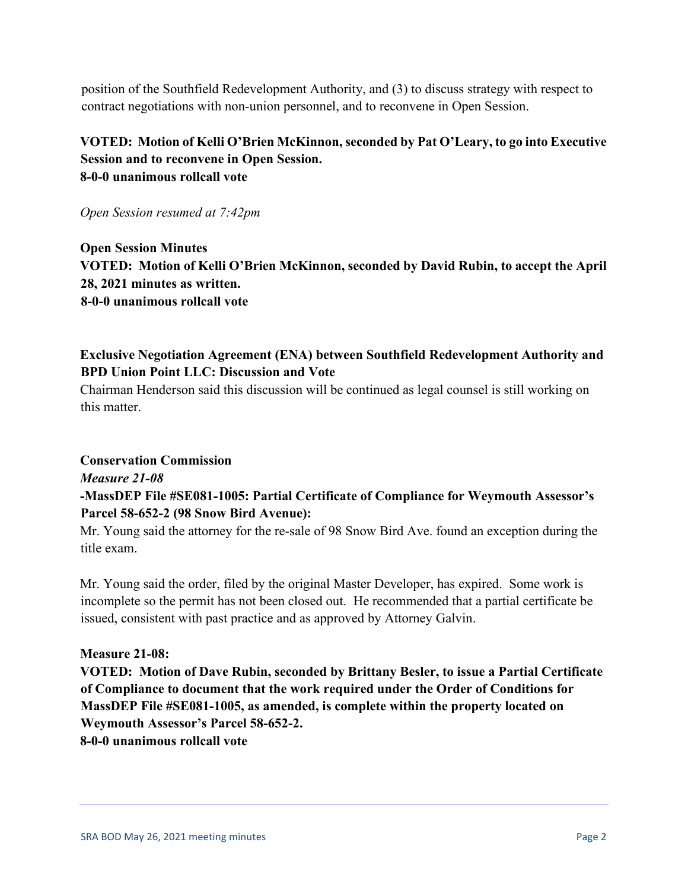position of the Southfield Redevelopment Authority, and (3) to discuss strategy with respect to contract negotiations with non-union personnel, and to reconvene in Open Session.

## **VOTED: Motion of Kelli O'Brien McKinnon, seconded by Pat O'Leary, to go into Executive Session and to reconvene in Open Session. 8-0-0 unanimous rollcall vote**

*Open Session resumed at 7:42pm*

**Open Session Minutes VOTED: Motion of Kelli O'Brien McKinnon, seconded by David Rubin, to accept the April 28, 2021 minutes as written. 8-0-0 unanimous rollcall vote** 

# **Exclusive Negotiation Agreement (ENA) between Southfield Redevelopment Authority and BPD Union Point LLC: Discussion and Vote**

Chairman Henderson said this discussion will be continued as legal counsel is still working on this matter.

#### **Conservation Commission**

## *Measure 21-08*

## **-MassDEP File #SE081-1005: Partial Certificate of Compliance for Weymouth Assessor's Parcel 58-652-2 (98 Snow Bird Avenue):**

Mr. Young said the attorney for the re-sale of 98 Snow Bird Ave. found an exception during the title exam.

Mr. Young said the order, filed by the original Master Developer, has expired. Some work is incomplete so the permit has not been closed out. He recommended that a partial certificate be issued, consistent with past practice and as approved by Attorney Galvin.

#### **Measure 21-08:**

**VOTED: Motion of Dave Rubin, seconded by Brittany Besler, to issue a Partial Certificate of Compliance to document that the work required under the Order of Conditions for MassDEP File #SE081-1005, as amended, is complete within the property located on Weymouth Assessor's Parcel 58-652-2.**

**8-0-0 unanimous rollcall vote**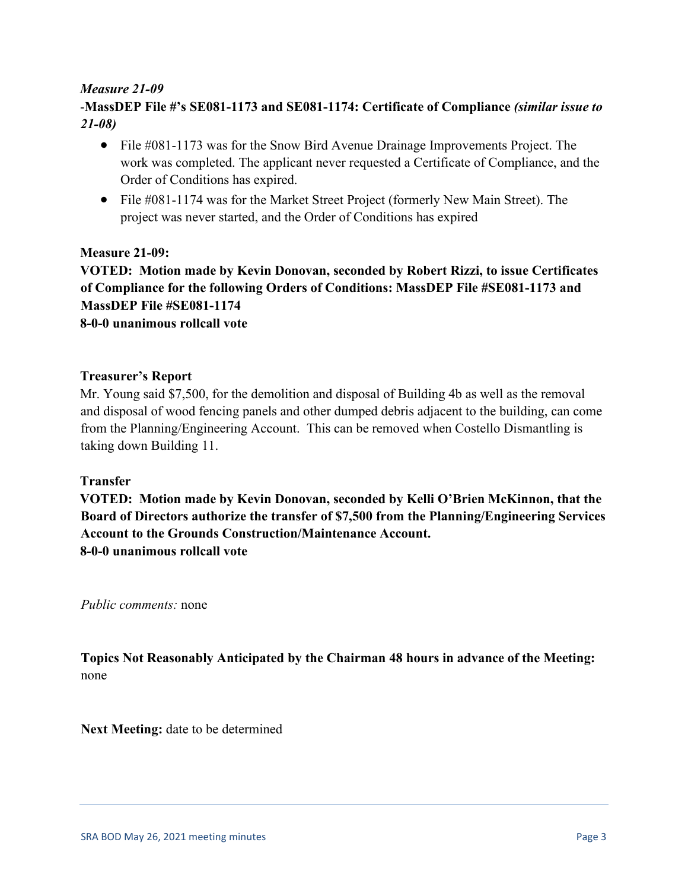## *Measure 21-09*

# -**MassDEP File #'s SE081-1173 and SE081-1174: Certificate of Compliance** *(similar issue to 21-08)*

- File #081-1173 was for the Snow Bird Avenue Drainage Improvements Project. The work was completed. The applicant never requested a Certificate of Compliance, and the Order of Conditions has expired.
- File #081-1174 was for the Market Street Project (formerly New Main Street). The project was never started, and the Order of Conditions has expired

## **Measure 21-09:**

**VOTED: Motion made by Kevin Donovan, seconded by Robert Rizzi, to issue Certificates of Compliance for the following Orders of Conditions: MassDEP File #SE081-1173 and MassDEP File #SE081-1174 8-0-0 unanimous rollcall vote** 

#### **Treasurer's Report**

Mr. Young said \$7,500, for the demolition and disposal of Building 4b as well as the removal and disposal of wood fencing panels and other dumped debris adjacent to the building, can come from the Planning/Engineering Account. This can be removed when Costello Dismantling is taking down Building 11.

## **Transfer**

**VOTED: Motion made by Kevin Donovan, seconded by Kelli O'Brien McKinnon, that the Board of Directors authorize the transfer of \$7,500 from the Planning/Engineering Services Account to the Grounds Construction/Maintenance Account. 8-0-0 unanimous rollcall vote** 

*Public comments:* none

**Topics Not Reasonably Anticipated by the Chairman 48 hours in advance of the Meeting:** none

**Next Meeting:** date to be determined